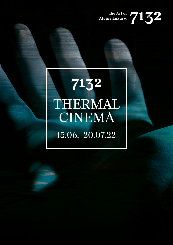## The Art of 7132

## 7132 THERMAL CINEMA 15.06.–20.07.22

**Silly**